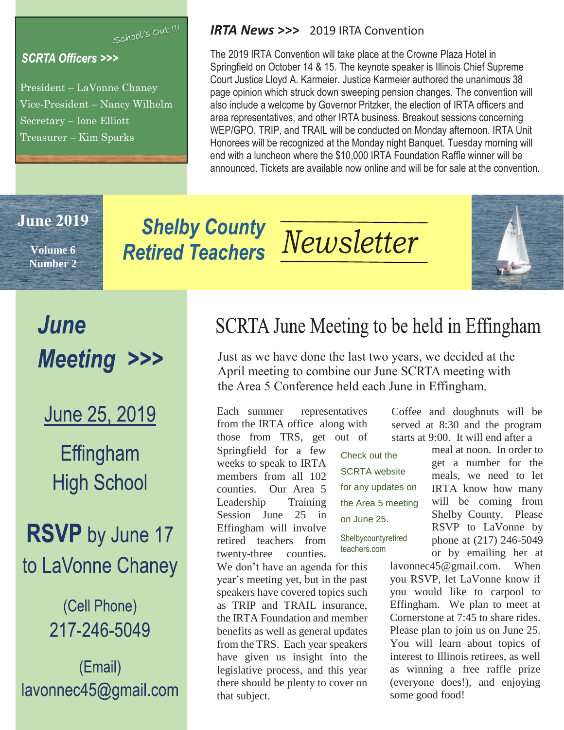School's Out !!!

#### **SCRTA Officers >>>**

President – LaVonne Chaney Vice-President – Nancy Wilhelm Secretary – Ione Elliott Treasurer – Kim Sparks

#### *IRTA News* **>>>** 2019 IRTA Convention

The 2019 IRTA Convention will take place at the Crowne Plaza Hotel in Springfield on October 14 & 15. The keynote speaker is Illinois Chief Supreme Court Justice Lloyd A. Karmeier. Justice Karmeier authored the unanimous 38 page opinion which struck down sweeping pension changes. The convention will also include a welcome by Governor Pritzker, the election of IRTA officers and area representatives, and other IRTA business. Breakout sessions concerning WEP/GPO, TRIP, and TRAIL will be conducted on Monday afternoon. IRTA Unit Honorees will be recognized at the Monday night Banquet. Tuesday morning will end with a luncheon where the \$10,000 IRTA Foundation Raffle winner will be announced. Tickets are available now online and will be for sale at the convention.

#### **June 2019**

**Volume 6 Number 2**

# **Shelby County**

# **Shelby County Meusletter**



# June **Meeting >>>**

June 25, 2019

Effingham **High School** 

**RSVP** by June 17 to LaVonne Chaney

### (Cell Phone) 217-246-5049

(Email) lavonnec45@gmail.com

# SCRTA June Meeting to be held in Effingham

Just as we have done the last two years, we decided at the April meeting to combine our June SCRTA meeting with the Area 5 Conference held each June in Effingham.

> Check out the SCRTA website

on June 25.

Shelbycountyretired teachers.com

for any updates on the Area 5 meeting

Each summer representatives from the IRTA office along with those from TRS, get out of

Springfield for a few weeks to speak to IRTA members from all 102 counties. Our Area 5 Leadership Training Session June 25 in Effingham will involve retired teachers from twenty-three counties.

We don't have an agenda for this year's meeting yet, but in the past speakers have covered topics such as TRIP and TRAIL insurance, the IRTA Foundation and member benefits as well as general updates from the TRS. Each year speakers have given us insight into the legislative process, and this year there should be plenty to cover on that subject.

Coffee and doughnuts will be served at 8:30 and the program starts at 9:00. It will end after a

> meal at noon. In order to get a number for the meals, we need to let IRTA know how many will be coming from Shelby County. Please RSVP to LaVonne by phone at (217) 246-5049 or by emailing her at

lavonnec45@gmail.com. When you RSVP, let LaVonne know if you would like to carpool to Effingham. We plan to meet at Cornerstone at 7:45 to share rides. Please plan to join us on June 25. You will learn about topics of interest to Illinois retirees, as well as winning a free raffle prize (everyone does!), and enjoying some good food!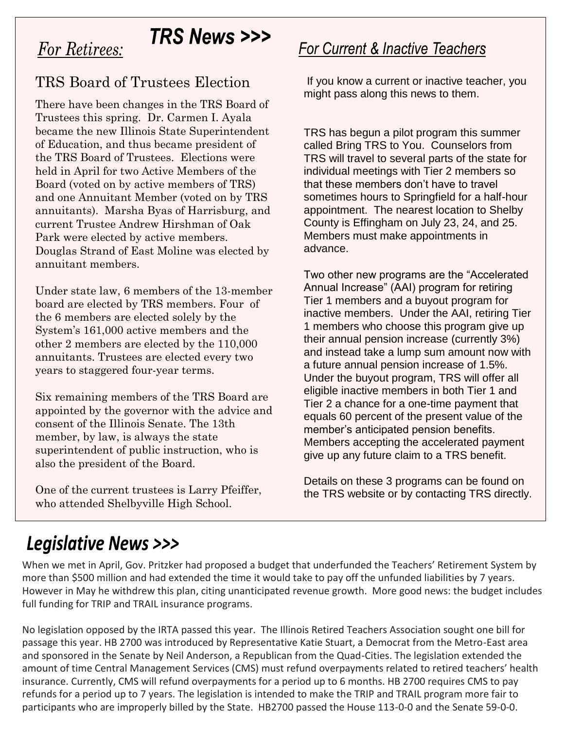### **TRS News >>>**

### **For Retirees:**

#### TRS Board of Trustees Election

There have been changes in the TRS Board of Trustees this spring. Dr. Carmen I. Ayala became the new Illinois State Superintendent of Education, and thus became president of the TRS Board of Trustees. Elections were held in April for two Active Members of the Board (voted on by active members of TRS) and one Annuitant Member (voted on by TRS annuitants). Marsha Byas of Harrisburg, and current Trustee Andrew Hirshman of Oak Park were elected by active members. Douglas Strand of East Moline was elected by annuitant members.

Under state law, 6 members of the 13-member board are elected by TRS members. Four of the 6 members are elected solely by the System's 161,000 active members and the other 2 members are elected by the 110,000 annuitants. Trustees are elected every two years to staggered four-year terms.

Six remaining members of the TRS Board are appointed by the governor with the advice and consent of the Illinois Senate. The 13th member, by law, is always the state superintendent of public instruction, who is also the president of the Board.

One of the current trustees is Larry Pfeiffer, who attended Shelbyville High School.

#### **For Current & Inactive Teachers**

If you know a current or inactive teacher, you might pass along this news to them.

TRS has begun a pilot program this summer called Bring TRS to You. Counselors from TRS will travel to several parts of the state for individual meetings with Tier 2 members so that these members don't have to travel sometimes hours to Springfield for a half-hour appointment. The nearest location to Shelby County is Effingham on July 23, 24, and 25. Members must make appointments in advance.

Two other new programs are the "Accelerated Annual Increase" (AAI) program for retiring Tier 1 members and a buyout program for inactive members. Under the AAI, retiring Tier 1 members who choose this program give up their annual pension increase (currently 3%) and instead take a lump sum amount now with a future annual pension increase of 1.5%. Under the buyout program, TRS will offer all eligible inactive members in both Tier 1 and Tier 2 a chance for a one-time payment that equals 60 percent of the present value of the member's anticipated pension benefits. Members accepting the accelerated payment give up any future claim to a TRS benefit.

Details on these 3 programs can be found on the TRS website or by contacting TRS directly.

# **Legislative News >>>**

When we met in April, Gov. Pritzker had proposed a budget that underfunded the Teachers' Retirement System by more than \$500 million and had extended the time it would take to pay off the unfunded liabilities by 7 years. However in May he withdrew this plan, citing unanticipated revenue growth. More good news: the budget includes full funding for TRIP and TRAIL insurance programs.

No legislation opposed by the IRTA passed this year. The Illinois Retired Teachers Association sought one bill for passage this year. HB 2700 was introduced by Representative Katie Stuart, a Democrat from the Metro-East area and sponsored in the Senate by Neil Anderson, a Republican from the Quad-Cities. The legislation extended the amount of time Central Management Services (CMS) must refund overpayments related to retired teachers' health insurance. Currently, CMS will refund overpayments for a period up to 6 months. HB 2700 requires CMS to pay refunds for a period up to 7 years. The legislation is intended to make the TRIP and TRAIL program more fair to participants who are improperly billed by the State. HB2700 passed the House 113-0-0 and the Senate 59-0-0.